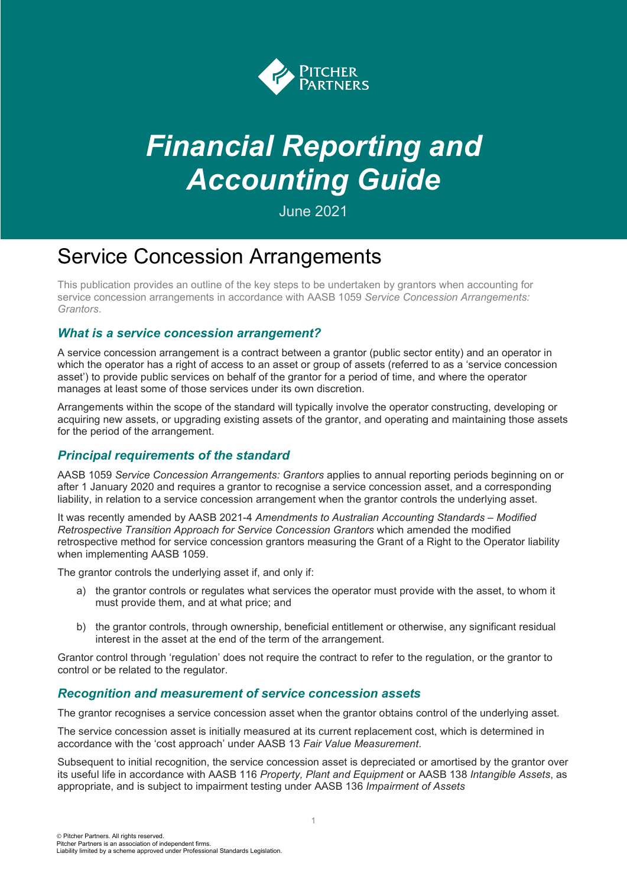

# *Financial Reporting and Accounting Guide*

June 2021

# Service Concession Arrangements

This publication provides an outline of the key steps to be undertaken by grantors when accounting for service concession arrangements in accordance with AASB 1059 *Service Concession Arrangements: Grantors*.

# *What is a service concession arrangement?*

A service concession arrangement is a contract between a grantor (public sector entity) and an operator in which the operator has a right of access to an asset or group of assets (referred to as a 'service concession asset') to provide public services on behalf of the grantor for a period of time, and where the operator manages at least some of those services under its own discretion.

Arrangements within the scope of the standard will typically involve the operator constructing, developing or acquiring new assets, or upgrading existing assets of the grantor, and operating and maintaining those assets for the period of the arrangement.

# *Principal requirements of the standard*

AASB 1059 *Service Concession Arrangements: Grantors* applies to annual reporting periods beginning on or after 1 January 2020 and requires a grantor to recognise a service concession asset, and a corresponding liability, in relation to a service concession arrangement when the grantor controls the underlying asset.

It was recently amended by AASB 2021-4 *Amendments to Australian Accounting Standards – Modified Retrospective Transition Approach for Service Concession Grantors* which amended the modified retrospective method for service concession grantors measuring the Grant of a Right to the Operator liability when implementing AASB 1059.

The grantor controls the underlying asset if, and only if:

- a) the grantor controls or regulates what services the operator must provide with the asset, to whom it must provide them, and at what price; and
- b) the grantor controls, through ownership, beneficial entitlement or otherwise, any significant residual interest in the asset at the end of the term of the arrangement.

Grantor control through 'regulation' does not require the contract to refer to the regulation, or the grantor to control or be related to the regulator.

# *Recognition and measurement of service concession assets*

The grantor recognises a service concession asset when the grantor obtains control of the underlying asset.

The service concession asset is initially measured at its current replacement cost, which is determined in accordance with the 'cost approach' under AASB 13 *Fair Value Measurement*.

Subsequent to initial recognition, the service concession asset is depreciated or amortised by the grantor over its useful life in accordance with AASB 116 *Property, Plant and Equipment* or AASB 138 *Intangible Assets*, as appropriate, and is subject to impairment testing under AASB 136 *Impairment of Assets*